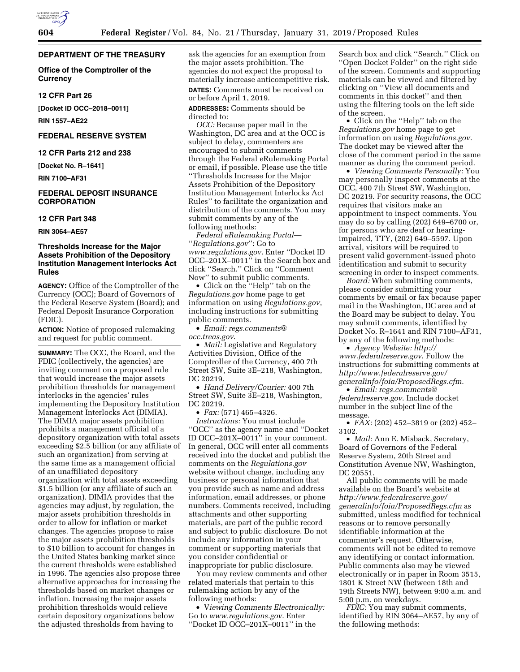## **DEPARTMENT OF THE TREASURY**

**Office of the Comptroller of the Currency** 

## **12 CFR Part 26**

**[Docket ID OCC–2018–0011]** 

**RIN 1557–AE22** 

## **FEDERAL RESERVE SYSTEM**

## **12 CFR Parts 212 and 238**

**[Docket No. R–1641]** 

**RIN 7100–AF31** 

## **FEDERAL DEPOSIT INSURANCE CORPORATION**

#### **12 CFR Part 348**

**RIN 3064–AE57** 

## **Thresholds Increase for the Major Assets Prohibition of the Depository Institution Management Interlocks Act Rules**

**AGENCY:** Office of the Comptroller of the Currency (OCC); Board of Governors of the Federal Reserve System (Board); and Federal Deposit Insurance Corporation (FDIC).

**ACTION:** Notice of proposed rulemaking and request for public comment.

**SUMMARY:** The OCC, the Board, and the FDIC (collectively, the agencies) are inviting comment on a proposed rule that would increase the major assets prohibition thresholds for management interlocks in the agencies' rules implementing the Depository Institution Management Interlocks Act (DIMIA). The DIMIA major assets prohibition prohibits a management official of a depository organization with total assets exceeding \$2.5 billion (or any affiliate of such an organization) from serving at the same time as a management official of an unaffiliated depository organization with total assets exceeding \$1.5 billion (or any affiliate of such an organization). DIMIA provides that the agencies may adjust, by regulation, the major assets prohibition thresholds in order to allow for inflation or market changes. The agencies propose to raise the major assets prohibition thresholds to \$10 billion to account for changes in the United States banking market since the current thresholds were established in 1996. The agencies also propose three alternative approaches for increasing the thresholds based on market changes or inflation. Increasing the major assets prohibition thresholds would relieve certain depository organizations below the adjusted thresholds from having to

ask the agencies for an exemption from the major assets prohibition. The agencies do not expect the proposal to materially increase anticompetitive risk. **DATES:** Comments must be received on

or before April 1, 2019. **ADDRESSES:** Comments should be directed to:

*OCC:* Because paper mail in the Washington, DC area and at the OCC is subject to delay, commenters are encouraged to submit comments through the Federal eRulemaking Portal or email, if possible. Please use the title ''Thresholds Increase for the Major Assets Prohibition of the Depository Institution Management Interlocks Act Rules'' to facilitate the organization and distribution of the comments. You may submit comments by any of the following methods:

*Federal eRulemaking Portal*— ''*Regulations.gov*'': Go to *[www.regulations.gov](http://www.regulations.gov)*. Enter ''Docket ID OCC–201X–0011'' in the Search box and click ''Search.'' Click on ''Comment Now'' to submit public comments.

• Click on the ''Help'' tab on the *Regulations.gov* home page to get information on using *Regulations.gov*, including instructions for submitting public comments.

• *Email: [regs.comments@](mailto:regs.comments@occ.treas.gov) [occ.treas.gov](mailto:regs.comments@occ.treas.gov)*.

• *Mail:* Legislative and Regulatory Activities Division, Office of the Comptroller of the Currency, 400 7th Street SW, Suite 3E–218, Washington, DC 20219.

• *Hand Delivery/Courier:* 400 7th Street SW, Suite 3E–218, Washington, DC 20219.

• *Fax:* (571) 465–4326.

*Instructions:* You must include ''OCC'' as the agency name and ''Docket ID OCC–201X–0011'' in your comment. In general, OCC will enter all comments received into the docket and publish the comments on the *Regulations.gov*  website without change, including any business or personal information that you provide such as name and address information, email addresses, or phone numbers. Comments received, including attachments and other supporting materials, are part of the public record and subject to public disclosure. Do not include any information in your comment or supporting materials that you consider confidential or inappropriate for public disclosure.

You may review comments and other related materials that pertain to this rulemaking action by any of the following methods:

• V*iewing Comments Electronically:*  Go to *[www.regulations.gov](http://www.regulations.gov)*. Enter ''Docket ID OCC–201X–0011'' in the

Search box and click ''Search.'' Click on ''Open Docket Folder'' on the right side of the screen. Comments and supporting materials can be viewed and filtered by clicking on ''View all documents and comments in this docket'' and then using the filtering tools on the left side of the screen.

• Click on the ''Help'' tab on the *Regulations.gov* home page to get information on using *Regulations.gov*. The docket may be viewed after the close of the comment period in the same manner as during the comment period.

• *Viewing Comments Personally:* You may personally inspect comments at the OCC, 400 7th Street SW, Washington, DC 20219. For security reasons, the OCC requires that visitors make an appointment to inspect comments. You may do so by calling (202) 649–6700 or, for persons who are deaf or hearingimpaired, TTY, (202) 649–5597. Upon arrival, visitors will be required to present valid government-issued photo identification and submit to security screening in order to inspect comments.

*Board:* When submitting comments, please consider submitting your comments by email or fax because paper mail in the Washington, DC area and at the Board may be subject to delay. You may submit comments, identified by Docket No. R–1641 and RIN 7100–AF31, by any of the following methods:

• *Agency Website: [http://](http://www.federalreserve.gov) [www.federalreserve.gov](http://www.federalreserve.gov)*. Follow the instructions for submitting comments at *[http://www.federalreserve.gov/](http://www.federalreserve.gov/generalinfo/foia/ProposedRegs.cfm)  [generalinfo/foia/ProposedRegs.cfm](http://www.federalreserve.gov/generalinfo/foia/ProposedRegs.cfm)*.

• *Email: [regs.comments@](mailto:regs.comments@federalreserve.gov) [federalreserve.gov](mailto:regs.comments@federalreserve.gov)*. Include docket number in the subject line of the message.

• *FAX:* (202) 452–3819 or (202) 452– 3102.

• *Mail: Ann E. Misback, Secretary,* Board of Governors of the Federal Reserve System, 20th Street and Constitution Avenue NW, Washington, DC 20551.

All public comments will be made available on the Board's website at *[http://www.federalreserve.gov/](http://www.federalreserve.gov/generalinfo/foia/ProposedRegs.cfm)  [generalinfo/foia/ProposedRegs.cfm](http://www.federalreserve.gov/generalinfo/foia/ProposedRegs.cfm)* as submitted, unless modified for technical reasons or to remove personally identifiable information at the commenter's request. Otherwise, comments will not be edited to remove any identifying or contact information. Public comments also may be viewed electronically or in paper in Room 3515, 1801 K Street NW (between 18th and 19th Streets NW), between 9:00 a.m. and 5:00 p.m. on weekdays.

*FDIC:* You may submit comments, identified by RIN 3064–AE57, by any of the following methods: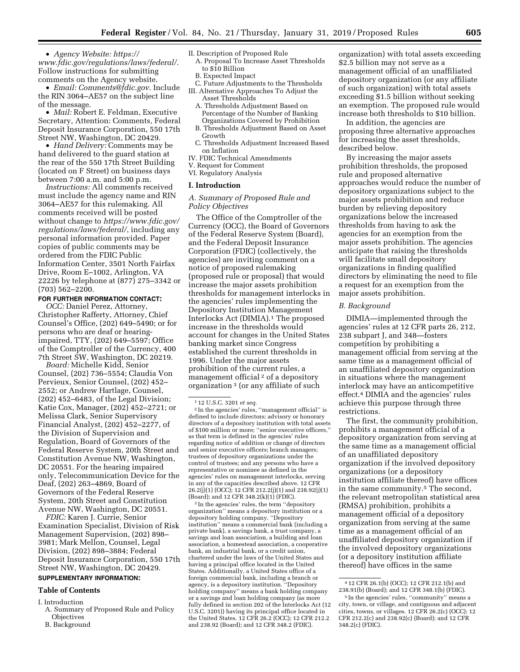• *Agency Website: [https://](https://www.fdic.gov/regulations/laws/federal/) [www.fdic.gov/regulations/laws/federal/](https://www.fdic.gov/regulations/laws/federal/)*. Follow instructions for submitting

comments on the Agency website. • *Email: [Comments@fdic.gov](mailto:Comments@fdic.gov)*. Include the RIN 3064–AE57 on the subject line of the message.

• *Mail:* Robert E. Feldman, Executive Secretary, Attention: Comments, Federal Deposit Insurance Corporation, 550 17th Street NW, Washington, DC 20429.

• *Hand Delivery:* Comments may be hand delivered to the guard station at the rear of the 550 17th Street Building (located on F Street) on business days between 7:00 a.m. and 5:00 p.m.

*Instructions:* All comments received must include the agency name and RIN 3064–AE57 for this rulemaking. All comments received will be posted without change to *[https://www.fdic.gov/](https://www.fdic.gov/regulations/laws/federal/) [regulations/laws/federal/](https://www.fdic.gov/regulations/laws/federal/)*, including any personal information provided. Paper copies of public comments may be ordered from the FDIC Public Information Center, 3501 North Fairfax Drive, Room E–1002, Arlington, VA 22226 by telephone at (877) 275–3342 or (703) 562–2200.

## **FOR FURTHER INFORMATION CONTACT:**

*OCC:* Daniel Perez, Attorney, Christopher Rafferty, Attorney, Chief Counsel's Office, (202) 649–5490; or for persons who are deaf or hearingimpaired, TTY, (202) 649–5597; Office of the Comptroller of the Currency, 400 7th Street SW, Washington, DC 20219.

*Board:* Michelle Kidd, Senior Counsel, (202) 736–5554; Claudia Von Pervieux, Senior Counsel, (202) 452– 2552; or Andrew Hartlage, Counsel, (202) 452–6483, of the Legal Division; Katie Cox, Manager, (202) 452–2721; or Melissa Clark, Senior Supervisory Financial Analyst, (202) 452–2277, of the Division of Supervision and Regulation, Board of Governors of the Federal Reserve System, 20th Street and Constitution Avenue NW, Washington, DC 20551. For the hearing impaired only, Telecommunication Device for the Deaf, (202) 263–4869, Board of Governors of the Federal Reserve System, 20th Street and Constitution Avenue NW, Washington, DC 20551.

*FDIC:* Karen J. Currie, Senior Examination Specialist, Division of Risk Management Supervision, (202) 898– 3981; Mark Mellon, Counsel, Legal Division, (202) 898–3884; Federal Deposit Insurance Corporation, 550 17th Street NW, Washington, DC 20429. **SUPPLEMENTARY INFORMATION:** 

# **Table of Contents**

- I. Introduction
- A. Summary of Proposed Rule and Policy **Objectives**
- B. Background

#### II. Description of Proposed Rule

- A. Proposal To Increase Asset Thresholds to \$10 Billion
- B. Expected Impact
- C. Future Adjustments to the Thresholds III. Alternative Approaches To Adjust the
	- Asset Thresholds A. Thresholds Adjustment Based on
	- Percentage of the Number of Banking Organizations Covered by Prohibition
	- B. Thresholds Adjustment Based on Asset Growth
	- C. Thresholds Adjustment Increased Based on Inflation
- IV. FDIC Technical Amendments
- V. Request for Comment
- VI. Regulatory Analysis

#### **I. Introduction**

## *A. Summary of Proposed Rule and Policy Objectives*

The Office of the Comptroller of the Currency (OCC), the Board of Governors of the Federal Reserve System (Board), and the Federal Deposit Insurance Corporation (FDIC) (collectively, the agencies) are inviting comment on a notice of proposed rulemaking (proposed rule or proposal) that would increase the major assets prohibition thresholds for management interlocks in the agencies' rules implementing the Depository Institution Management Interlocks Act (DIMIA).1 The proposed increase in the thresholds would account for changes in the United States banking market since Congress established the current thresholds in 1996. Under the major assets prohibition of the current rules, a management official<sup>2</sup> of a depository organization 3 (or any affiliate of such

2 In the agencies' rules, ''management official'' is defined to include directors; advisory or honorary directors of a depository institution with total assets of \$100 million or more; ''senior executive officers,'' as that term is defined in the agencies' rules regarding notice of addition or change of directors and senior executive officers; branch managers; trustees of depository organizations under the control of trustees; and any persons who have a representative or nominee as defined in the agencies' rules on management interlocks, serving in any of the capacities described above. 12 CFR 26.2(j)(1) (OCC); 12 CFR 212.2(j)(1) and 238.92(j)(1) (Board); and 12 CFR 348.2(k)(1) (FDIC).

3 In the agencies' rules, the term ''depository organization'' means a depository institution or a depository holding company. ''Depository institution'' means a commercial bank (including a private bank), a savings bank, a trust company, a savings and loan association, a building and loan association, a homestead association, a cooperative bank, an industrial bank, or a credit union, chartered under the laws of the United States and having a principal office located in the United States. Additionally, a United States office of a foreign commercial bank, including a branch or agency, is a depository institution. ''Depository holding company'' means a bank holding company or a savings and loan holding company (as more fully defined in section 202 of the Interlocks Act (12 U.S.C. 3201)) having its principal office located in the United States. 12 CFR 26.2 (OCC); 12 CFR 212.2 and 238.92 (Board); and 12 CFR 348.2 (FDIC).

organization) with total assets exceeding \$2.5 billion may not serve as a management official of an unaffiliated depository organization (or any affiliate of such organization) with total assets exceeding \$1.5 billion without seeking an exemption. The proposed rule would increase both thresholds to \$10 billion.

In addition, the agencies are proposing three alternative approaches for increasing the asset thresholds, described below.

By increasing the major assets prohibition thresholds, the proposed rule and proposed alternative approaches would reduce the number of depository organizations subject to the major assets prohibition and reduce burden by relieving depository organizations below the increased thresholds from having to ask the agencies for an exemption from the major assets prohibition. The agencies anticipate that raising the thresholds will facilitate small depository organizations in finding qualified directors by eliminating the need to file a request for an exemption from the major assets prohibition.

#### *B. Background*

DIMIA—implemented through the agencies' rules at 12 CFR parts 26, 212, 238 subpart J, and 348—fosters competition by prohibiting a management official from serving at the same time as a management official of an unaffiliated depository organization in situations where the management interlock may have an anticompetitive effect.4 DIMIA and the agencies' rules achieve this purpose through three restrictions.

The first, the community prohibition, prohibits a management official of a depository organization from serving at the same time as a management official of an unaffiliated depository organization if the involved depository organizations (or a depository institution affiliate thereof) have offices in the same community.5 The second, the relevant metropolitan statistical area (RMSA) prohibition, prohibits a management official of a depository organization from serving at the same time as a management official of an unaffiliated depository organization if the involved depository organizations (or a depository institution affiliate thereof) have offices in the same

<sup>1</sup> 12 U.S.C. 3201 *et seq.* 

<sup>4</sup> 12 CFR 26.1(b) (OCC); 12 CFR 212.1(b) and 238.91(b) (Board); and 12 CFR 348.1(b) (FDIC).

<sup>5</sup> In the agencies' rules, ''community'' means a city, town, or village, and contiguous and adjacent cities, towns, or villages. 12 CFR 26.2(c) (OCC); 12 CFR 212.2(c) and 238.92(c) (Board); and 12 CFR 348.2(c) (FDIC).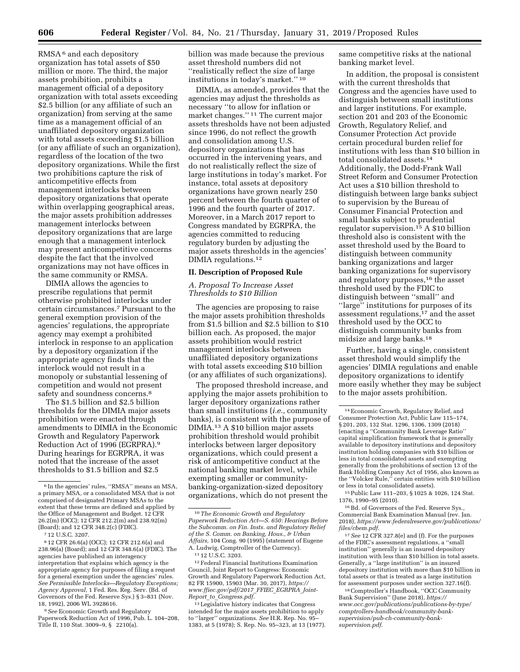RMSA 6 and each depository organization has total assets of \$50 million or more. The third, the major assets prohibition, prohibits a management official of a depository organization with total assets exceeding \$2.5 billion (or any affiliate of such an organization) from serving at the same time as a management official of an unaffiliated depository organization with total assets exceeding \$1.5 billion (or any affiliate of such an organization), regardless of the location of the two depository organizations. While the first two prohibitions capture the risk of anticompetitive effects from management interlocks between depository organizations that operate within overlapping geographical areas, the major assets prohibition addresses management interlocks between depository organizations that are large enough that a management interlock may present anticompetitive concerns despite the fact that the involved organizations may not have offices in the same community or RMSA.

DIMIA allows the agencies to prescribe regulations that permit otherwise prohibited interlocks under certain circumstances.7 Pursuant to the general exemption provision of the agencies' regulations, the appropriate agency may exempt a prohibited interlock in response to an application by a depository organization if the appropriate agency finds that the interlock would not result in a monopoly or substantial lessening of competition and would not present safety and soundness concerns.<sup>8</sup>

The \$1.5 billion and \$2.5 billion thresholds for the DIMIA major assets prohibition were enacted through amendments to DIMIA in the Economic Growth and Regulatory Paperwork Reduction Act of 1996 (EGRPRA).9 During hearings for EGRPRA, it was noted that the increase of the asset thresholds to \$1.5 billion and \$2.5

8 12 CFR 26.6(a) (OCC); 12 CFR 212.6(a) and 238.96(a) (Board); and 12 CFR 348.6(a) (FDIC). The agencies have published an interagency interpretation that explains which agency is the appropriate agency for purposes of filing a request for a general exemption under the agencies' rules. *See Permissible Interlocks—Regulatory Exceptions; Agency Approval,* 1 Fed. Res. Reg. Serv. (Bd. of Governors of the Fed. Reserve Sys.) § 3–831 (Nov. 18, 1992), 2006 WL 3928616.

9*See* Economic Growth and Regulatory Paperwork Reduction Act of 1996, Pub. L. 104–208, Title II, 110 Stat. 3009–9, § 2210(a).

billion was made because the previous asset threshold numbers did not ''realistically reflect the size of large institutions in today's market.'' 10

DIMIA, as amended, provides that the agencies may adjust the thresholds as necessary ''to allow for inflation or market changes."<sup>11</sup> The current major assets thresholds have not been adjusted since 1996, do not reflect the growth and consolidation among U.S. depository organizations that has occurred in the intervening years, and do not realistically reflect the size of large institutions in today's market. For instance, total assets at depository organizations have grown nearly 250 percent between the fourth quarter of 1996 and the fourth quarter of 2017. Moreover, in a March 2017 report to Congress mandated by EGRPRA, the agencies committed to reducing regulatory burden by adjusting the major assets thresholds in the agencies' DIMIA regulations.12

#### **II. Description of Proposed Rule**

## *A. Proposal To Increase Asset Thresholds to \$10 Billion*

The agencies are proposing to raise the major assets prohibition thresholds from \$1.5 billion and \$2.5 billion to \$10 billion each. As proposed, the major assets prohibition would restrict management interlocks between unaffiliated depository organizations with total assets exceeding \$10 billion (or any affiliates of such organizations).

The proposed threshold increase, and applying the major assets prohibition to larger depository organizations rather than small institutions (*i.e.,* community banks), is consistent with the purpose of DIMIA.13 A \$10 billion major assets prohibition threshold would prohibit interlocks between larger depository organizations, which could present a risk of anticompetitive conduct at the national banking market level, while exempting smaller or communitybanking-organization-sized depository organizations, which do not present the

12Federal Financial Institutions Examination Council, Joint Report to Congress: Economic Growth and Regulatory Paperwork Reduction Act, 82 FR 15900, 15903 (Mar. 30, 2017), *[https://](https://www.ffiec.gov/pdf/2017_FFIEC_EGRPRA_Joint-Report_to_Congress.pdf) [www.ffiec.gov/pdf/2017](https://www.ffiec.gov/pdf/2017_FFIEC_EGRPRA_Joint-Report_to_Congress.pdf)*\_*FFIEC*\_*EGRPRA*\_*Joint-Report*\_*to*\_*[Congress.pdf](https://www.ffiec.gov/pdf/2017_FFIEC_EGRPRA_Joint-Report_to_Congress.pdf)*.

13Legislative history indicates that Congress intended for the major assets prohibition to apply to ''larger'' organizations. *See* H.R. Rep. No. 95– 1383, at 5 (1978); S. Rep. No. 95–323, at 13 (1977). same competitive risks at the national banking market level.

In addition, the proposal is consistent with the current thresholds that Congress and the agencies have used to distinguish between small institutions and larger institutions. For example, section 201 and 203 of the Economic Growth, Regulatory Relief, and Consumer Protection Act provide certain procedural burden relief for institutions with less than \$10 billion in total consolidated assets.14 Additionally, the Dodd-Frank Wall Street Reform and Consumer Protection Act uses a \$10 billion threshold to distinguish between large banks subject to supervision by the Bureau of Consumer Financial Protection and small banks subject to prudential regulator supervision.<sup>15</sup> A \$10 billion threshold also is consistent with the asset threshold used by the Board to distinguish between community banking organizations and larger banking organizations for supervisory and regulatory purposes,16 the asset threshold used by the FDIC to distinguish between ''small'' and ''large'' institutions for purposes of its assessment regulations,17 and the asset threshold used by the OCC to distinguish community banks from midsize and large banks.18

Further, having a single, consistent asset threshold would simplify the agencies' DIMIA regulations and enable depository organizations to identify more easily whether they may be subject to the major assets prohibition.

15Public Law 111–203, § 1025 & 1026, 124 Stat. 1376, 1990–95 (2010).

16Bd. of Governors of the Fed. Reserve Sys., Commercial Bank Examination Manual (rev. Jan. 2018), *[https://www.federalreserve.gov/publications/](https://www.federalreserve.gov/publications/files/cbem.pdf)  [files/cbem.pdf](https://www.federalreserve.gov/publications/files/cbem.pdf)*.

17*See* 12 CFR 327.8(e) and (f). For the purposes of the FDIC's assessment regulations, a ''small institution'' generally is an insured depository institution with less than \$10 billion in total assets. Generally, a ''large institution'' is an insured depository institution with more than \$10 billion in total assets or that is treated as a large institution for assessment purposes under section 327.16(f).

18Comptroller's Handbook, ''OCC Community Bank Supervision'' (June 2018), *[https://](https://www.occ.gov/publications/publications-by-type/comptrollers-handbook/community-bank-supervision/pub-ch-community-bank-supervision.pdf) [www.occ.gov/publications/publications-by-type/](https://www.occ.gov/publications/publications-by-type/comptrollers-handbook/community-bank-supervision/pub-ch-community-bank-supervision.pdf)  [comptrollers-handbook/community-bank](https://www.occ.gov/publications/publications-by-type/comptrollers-handbook/community-bank-supervision/pub-ch-community-bank-supervision.pdf)supervision/pub-ch-community-bank[supervision.pdf](https://www.occ.gov/publications/publications-by-type/comptrollers-handbook/community-bank-supervision/pub-ch-community-bank-supervision.pdf)*.

<sup>6</sup> In the agencies' rules, ''RMSA'' means an MSA, a primary MSA, or a consolidated MSA that is not comprised of designated Primary MSAs to the extent that these terms are defined and applied by the Office of Management and Budget. 12 CFR 26.2(m) (OCC); 12 CFR 212.2(m) and 238.92(m) (Board); and 12 CFR 348.2(c) (FDIC).

<sup>7</sup> 12 U.S.C. 3207.

<sup>10</sup>*The Economic Growth and Regulatory Paperwork Reduction Act—S. 650: Hearings Before the Subcomm. on Fin. Insts. and Regulatory Relief of the S. Comm. on Banking, Hous., & Urban Affairs,* 104 Cong. 90 (1995) (statement of Eugene A. Ludwig, Comptroller of the Currency).

<sup>11</sup> 12 U.S.C. 3203.

<sup>14</sup>Economic Growth, Regulatory Relief, and Consumer Protection Act, Public Law 115–174, § 201, 203, 132 Stat. 1296, 1306, 1309 (2018) (enacting a ''Community Bank Leverage Ratio'' capital simplification framework that is generally available to depository institutions and depository institution holding companies with \$10 billion or less in total consolidated assets and exempting generally from the prohibitions of section 13 of the Bank Holding Company Act of 1956, also known as the ''Volcker Rule,'' certain entities with \$10 billion or less in total consolidated assets).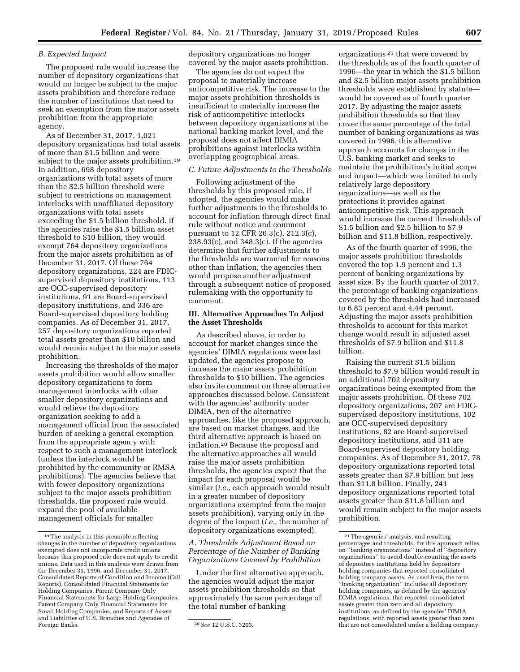#### *B. Expected Impact*

The proposed rule would increase the number of depository organizations that would no longer be subject to the major assets prohibition and therefore reduce the number of institutions that need to seek an exemption from the major assets prohibition from the appropriate agency.

As of December 31, 2017, 1,021 depository organizations had total assets of more than \$1.5 billion and were subject to the major assets prohibition.<sup>19</sup> In addition, 698 depository organizations with total assets of more than the \$2.5 billion threshold were subject to restrictions on management interlocks with unaffiliated depository organizations with total assets exceeding the \$1.5 billion threshold. If the agencies raise the \$1.5 billion asset threshold to \$10 billion, they would exempt 764 depository organizations from the major assets prohibition as of December 31, 2017. Of these 764 depository organizations, 224 are FDICsupervised depository institutions, 113 are OCC-supervised depository institutions, 91 are Board-supervised depository institutions, and 336 are Board-supervised depository holding companies. As of December 31, 2017, 257 depository organizations reported total assets greater than \$10 billion and would remain subject to the major assets prohibition.

Increasing the thresholds of the major assets prohibition would allow smaller depository organizations to form management interlocks with other smaller depository organizations and would relieve the depository organization seeking to add a management official from the associated burden of seeking a general exemption from the appropriate agency with respect to such a management interlock (unless the interlock would be prohibited by the community or RMSA prohibitions). The agencies believe that with fewer depository organizations subject to the major assets prohibition thresholds, the proposed rule would expand the pool of available management officials for smaller

depository organizations no longer covered by the major assets prohibition.

The agencies do not expect the proposal to materially increase anticompetitive risk. The increase to the major assets prohibition thresholds is insufficient to materially increase the risk of anticompetitive interlocks between depository organizations at the national banking market level, and the proposal does not affect DIMIA prohibitions against interlocks within overlapping geographical areas.

#### *C. Future Adjustments to the Thresholds*

Following adjustment of the thresholds by this proposed rule, if adopted, the agencies would make further adjustments to the thresholds to account for inflation through direct final rule without notice and comment pursuant to 12 CFR 26.3(c), 212.3(c), 238.93(c), and 348.3(c). If the agencies determine that further adjustments to the thresholds are warranted for reasons other than inflation, the agencies then would propose another adjustment through a subsequent notice of proposed rulemaking with the opportunity to comment.

## **III. Alternative Approaches To Adjust the Asset Thresholds**

As described above, in order to account for market changes since the agencies' DIMIA regulations were last updated, the agencies propose to increase the major assets prohibition thresholds to \$10 billion. The agencies also invite comment on three alternative approaches discussed below. Consistent with the agencies' authority under DIMIA, two of the alternative approaches, like the proposed approach, are based on market changes, and the third alternative approach is based on inflation.20 Because the proposal and the alternative approaches all would raise the major assets prohibition thresholds, the agencies expect that the impact for each proposal would be similar (*i.e.,* each approach would result in a greater number of depository organizations exempted from the major assets prohibition), varying only in the degree of the impact (*i.e.,* the number of depository organizations exempted).

## *A. Thresholds Adjustment Based on Percentage of the Number of Banking Organizations Covered by Prohibition*

Under the first alternative approach, the agencies would adjust the major assets prohibition thresholds so that approximately the same percentage of the total number of banking

organizations 21 that were covered by the thresholds as of the fourth quarter of 1996—the year in which the \$1.5 billion and \$2.5 billion major assets prohibition thresholds were established by statute would be covered as of fourth quarter 2017. By adjusting the major assets prohibition thresholds so that they cover the same percentage of the total number of banking organizations as was covered in 1996, this alternative approach accounts for changes in the U.S. banking market and seeks to maintain the prohibition's initial scope and impact—which was limited to only relatively large depository organizations—as well as the protections it provides against anticompetitive risk. This approach would increase the current thresholds of \$1.5 billion and \$2.5 billion to \$7.9 billion and \$11.8 billion, respectively.

As of the fourth quarter of 1996, the major assets prohibition thresholds covered the top 1.9 percent and 1.3 percent of banking organizations by asset size. By the fourth quarter of 2017, the percentage of banking organizations covered by the thresholds had increased to 6.83 percent and 4.44 percent. Adjusting the major assets prohibition thresholds to account for this market change would result in adjusted asset thresholds of \$7.9 billion and \$11.8 billion.

Raising the current \$1.5 billion threshold to \$7.9 billion would result in an additional 702 depository organizations being exempted from the major assets prohibition. Of these 702 depository organizations, 207 are FDICsupervised depository institutions, 102 are OCC-supervised depository institutions, 82 are Board-supervised depository institutions, and 311 are Board-supervised depository holding companies. As of December 31, 2017, 78 depository organizations reported total assets greater than \$7.9 billion but less than \$11.8 billion. Finally, 241 depository organizations reported total assets greater than \$11.8 billion and would remain subject to the major assets prohibition.

 $^{\rm 19}\rm{The}$  analysis in this preamble reflecting changes in the number of depository organizations exempted does not incorporate credit unions because this proposed rule does not apply to credit unions. Data used in this analysis were drawn from the December 31, 1996, and December 31, 2017, Consolidated Reports of Condition and Income (Call Reports), Consolidated Financial Statements for Holding Companies, Parent Company Only Financial Statements for Large Holding Companies, Parent Company Only Financial Statements for Small Holding Companies, and Reports of Assets and Liabilities of U.S. Branches and Agencies of

<sup>&</sup>lt;sup>20</sup> See 12 U.S.C. 3203.

<sup>21</sup>The agencies' analysis, and resulting percentages and thresholds, for this approach relies on ''banking organizations'' instead of ''depository organizations'' to avoid double-counting the assets of depository institutions held by depository holding companies that reported consolidated holding company assets. As used here, the term ''banking organization'' includes all depository holding companies, as defined by the agencies' DIMIA regulations, that reported consolidated assets greater than zero and all depository institutions, as defined by the agencies' DIMIA regulations, with reported assets greater than zero that are not consolidated under a holding company.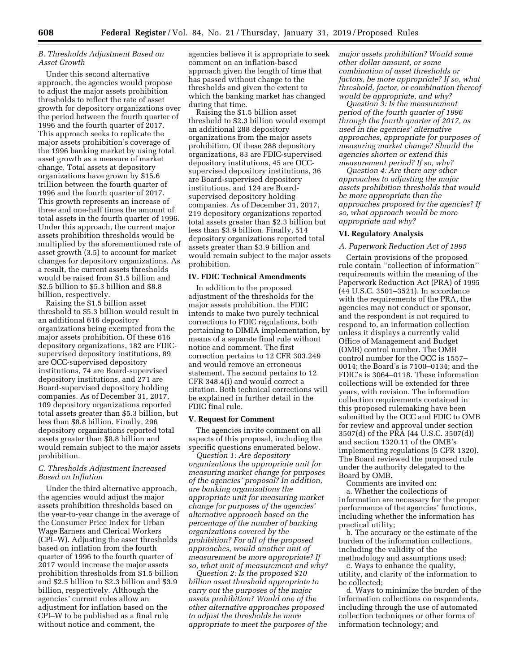## *B. Thresholds Adjustment Based on Asset Growth*

Under this second alternative approach, the agencies would propose to adjust the major assets prohibition thresholds to reflect the rate of asset growth for depository organizations over the period between the fourth quarter of 1996 and the fourth quarter of 2017. This approach seeks to replicate the major assets prohibition's coverage of the 1996 banking market by using total asset growth as a measure of market change. Total assets at depository organizations have grown by \$15.6 trillion between the fourth quarter of 1996 and the fourth quarter of 2017. This growth represents an increase of three and one-half times the amount of total assets in the fourth quarter of 1996. Under this approach, the current major assets prohibition thresholds would be multiplied by the aforementioned rate of asset growth (3.5) to account for market changes for depository organizations. As a result, the current assets thresholds would be raised from \$1.5 billion and \$2.5 billion to \$5.3 billion and \$8.8 billion, respectively.

Raising the \$1.5 billion asset threshold to \$5.3 billion would result in an additional 616 depository organizations being exempted from the major assets prohibition. Of these 616 depository organizations, 182 are FDICsupervised depository institutions, 89 are OCC-supervised depository institutions, 74 are Board-supervised depository institutions, and 271 are Board-supervised depository holding companies. As of December 31, 2017, 109 depository organizations reported total assets greater than \$5.3 billion, but less than \$8.8 billion. Finally, 296 depository organizations reported total assets greater than \$8.8 billion and would remain subject to the major assets prohibition.

## *C. Thresholds Adjustment Increased Based on Inflation*

Under the third alternative approach, the agencies would adjust the major assets prohibition thresholds based on the year-to-year change in the average of the Consumer Price Index for Urban Wage Earners and Clerical Workers (CPI–W). Adjusting the asset thresholds based on inflation from the fourth quarter of 1996 to the fourth quarter of 2017 would increase the major assets prohibition thresholds from \$1.5 billion and \$2.5 billion to \$2.3 billion and \$3.9 billion, respectively. Although the agencies' current rules allow an adjustment for inflation based on the CPI–W to be published as a final rule without notice and comment, the

agencies believe it is appropriate to seek comment on an inflation-based approach given the length of time that has passed without change to the thresholds and given the extent to which the banking market has changed during that time.

Raising the \$1.5 billion asset threshold to \$2.3 billion would exempt an additional 288 depository organizations from the major assets prohibition. Of these 288 depository organizations, 83 are FDIC-supervised depository institutions, 45 are OCCsupervised depository institutions, 36 are Board-supervised depository institutions, and 124 are Boardsupervised depository holding companies. As of December 31, 2017, 219 depository organizations reported total assets greater than \$2.3 billion but less than \$3.9 billion. Finally, 514 depository organizations reported total assets greater than \$3.9 billion and would remain subject to the major assets prohibition.

#### **IV. FDIC Technical Amendments**

In addition to the proposed adjustment of the thresholds for the major assets prohibition, the FDIC intends to make two purely technical corrections to FDIC regulations, both pertaining to DIMIA implementation, by means of a separate final rule without notice and comment. The first correction pertains to 12 CFR 303.249 and would remove an erroneous statement. The second pertains to 12 CFR 348.4(i) and would correct a citation. Both technical corrections will be explained in further detail in the FDIC final rule.

### **V. Request for Comment**

The agencies invite comment on all aspects of this proposal, including the specific questions enumerated below.

*Question 1: Are depository organizations the appropriate unit for measuring market change for purposes of the agencies' proposal? In addition, are banking organizations the appropriate unit for measuring market change for purposes of the agencies' alternative approach based on the percentage of the number of banking organizations covered by the prohibition? For all of the proposed approaches, would another unit of measurement be more appropriate? If so, what unit of measurement and why?* 

*Question 2: Is the proposed \$10 billion asset threshold appropriate to carry out the purposes of the major assets prohibition? Would one of the other alternative approaches proposed to adjust the thresholds be more appropriate to meet the purposes of the*  *major assets prohibition? Would some other dollar amount, or some combination of asset thresholds or factors, be more appropriate? If so, what threshold, factor, or combination thereof would be appropriate, and why?* 

*Question 3: Is the measurement period of the fourth quarter of 1996 through the fourth quarter of 2017, as used in the agencies' alternative approaches, appropriate for purposes of measuring market change? Should the agencies shorten or extend this measurement period? If so, why?* 

*Question 4: Are there any other approaches to adjusting the major assets prohibition thresholds that would be more appropriate than the approaches proposed by the agencies? If so, what approach would be more appropriate and why?* 

#### **VI. Regulatory Analysis**

#### *A. Paperwork Reduction Act of 1995*

Certain provisions of the proposed rule contain ''collection of information'' requirements within the meaning of the Paperwork Reduction Act (PRA) of 1995 (44 U.S.C. 3501–3521). In accordance with the requirements of the PRA, the agencies may not conduct or sponsor, and the respondent is not required to respond to, an information collection unless it displays a currently valid Office of Management and Budget (OMB) control number. The OMB control number for the OCC is 1557– 0014; the Board's is 7100–0134; and the FDIC's is 3064–0118. These information collections will be extended for three years, with revision. The information collection requirements contained in this proposed rulemaking have been submitted by the OCC and FDIC to OMB for review and approval under section 3507(d) of the PRA (44 U.S.C. 3507(d)) and section 1320.11 of the OMB's implementing regulations (5 CFR 1320). The Board reviewed the proposed rule under the authority delegated to the Board by OMB.

Comments are invited on: a. Whether the collections of information are necessary for the proper performance of the agencies' functions, including whether the information has practical utility;

b. The accuracy or the estimate of the burden of the information collections, including the validity of the methodology and assumptions used;

c. Ways to enhance the quality, utility, and clarity of the information to be collected;

d. Ways to minimize the burden of the information collections on respondents, including through the use of automated collection techniques or other forms of information technology; and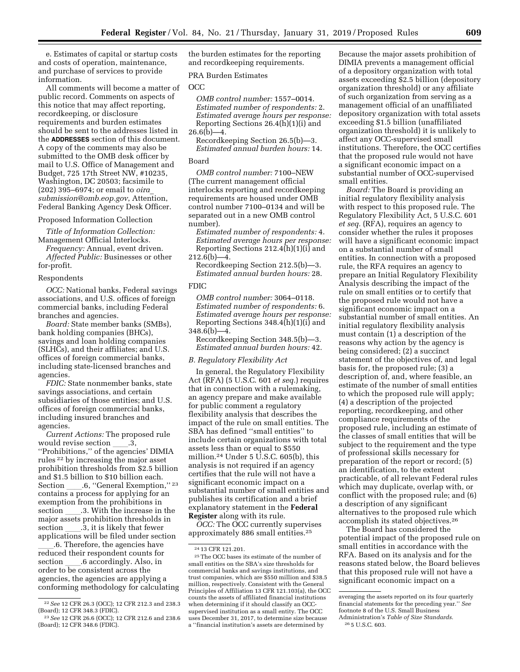e. Estimates of capital or startup costs and costs of operation, maintenance, and purchase of services to provide information.

All comments will become a matter of public record. Comments on aspects of this notice that may affect reporting, recordkeeping, or disclosure requirements and burden estimates should be sent to the addresses listed in the **ADDRESSES** section of this document. A copy of the comments may also be submitted to the OMB desk officer by mail to U.S. Office of Management and Budget, 725 17th Street NW, #10235, Washington, DC 20503; facsimile to (202) 395–6974; or email to *[oira](mailto:oira_submission@omb.eop.gov)*\_ *[submission@omb.eop.gov](mailto:oira_submission@omb.eop.gov)*, Attention, Federal Banking Agency Desk Officer.

#### Proposed Information Collection

*Title of Information Collection:*  Management Official Interlocks.

*Frequency:* Annual, event driven. *Affected Public:* Businesses or other for-profit.

#### Respondents

*OCC:* National banks, Federal savings associations, and U.S. offices of foreign commercial banks, including Federal branches and agencies.

*Board:* State member banks (SMBs), bank holding companies (BHCs), savings and loan holding companies (SLHCs), and their affiliates; and U.S. offices of foreign commercial banks, including state-licensed branches and agencies.

*FDIC:* State nonmember banks, state savings associations, and certain subsidiaries of those entities; and U.S. offices of foreign commercial banks, including insured branches and agencies.

*Current Actions:* The proposed rule would revise section 3, ''Prohibitions,'' of the agencies' DIMIA rules 22 by increasing the major asset prohibition thresholds from \$2.5 billion and \$1.5 billion to \$10 billion each. Section \_\_\_\_\_.6, "General Exemption," <sup>23</sup> contains a process for applying for an exemption from the prohibitions in section ll.3. With the increase in the major assets prohibition thresholds in section \_\_\_\_.3, it is likely that fewer<br>applications will be filed under section

.6. Therefore, the agencies have reduced their respondent counts for section \_\_\_\_.6 accordingly. Also, in<br>order to be consistent across the agencies, the agencies are applying a conforming methodology for calculating the burden estimates for the reporting and recordkeeping requirements.

#### PRA Burden Estimates

#### OCC

*OMB control number:* 1557–0014. *Estimated number of respondents:* 2. *Estimated average hours per response:*  Reporting Sections 26.4(h)(1)(i) and  $26.6(b) - 4.$ 

Recordkeeping Section 26.5(b)—3. *Estimated annual burden hours:* 14.

## Board

*OMB control number:* 7100–NEW (The current management official interlocks reporting and recordkeeping requirements are housed under OMB control number 7100–0134 and will be separated out in a new OMB control number).

*Estimated number of respondents:* 4. *Estimated average hours per response:*  Reporting Sections 212.4(h)(1)(i) and  $212.6(b) - 4.$ 

Recordkeeping Section 212.5(b)—3. *Estimated annual burden hours:* 28.

#### FDIC

*OMB control number:* 3064–0118. *Estimated number of respondents:* 6. *Estimated average hours per response:*  Reporting Sections 348.4(h)(1)(i) and  $348.6(b) - 4.$ 

Recordkeeping Section 348.5(b)—3. *Estimated annual burden hours:* 42.

#### *B. Regulatory Flexibility Act*

In general, the Regulatory Flexibility Act (RFA) (5 U.S.C. 601 *et seq.*) requires that in connection with a rulemaking, an agency prepare and make available for public comment a regulatory flexibility analysis that describes the impact of the rule on small entities. The SBA has defined ''small entities'' to include certain organizations with total assets less than or equal to \$550 million.<sup>24</sup> Under 5 U.S.C.  $605(b)$ , this analysis is not required if an agency certifies that the rule will not have a significant economic impact on a substantial number of small entities and publishes its certification and a brief explanatory statement in the **Federal Register** along with its rule.

*OCC:* The OCC currently supervises approximately 886 small entities.25

Because the major assets prohibition of DIMIA prevents a management official of a depository organization with total assets exceeding \$2.5 billion (depository organization threshold) or any affiliate of such organization from serving as a management official of an unaffiliated depository organization with total assets exceeding \$1.5 billion (unaffiliated organization threshold) it is unlikely to affect any OCC-supervised small institutions. Therefore, the OCC certifies that the proposed rule would not have a significant economic impact on a substantial number of OCC-supervised small entities.

*Board:* The Board is providing an initial regulatory flexibility analysis with respect to this proposed rule. The Regulatory Flexibility Act, 5 U.S.C. 601 *et seq.* (RFA), requires an agency to consider whether the rules it proposes will have a significant economic impact on a substantial number of small entities. In connection with a proposed rule, the RFA requires an agency to prepare an Initial Regulatory Flexibility Analysis describing the impact of the rule on small entities or to certify that the proposed rule would not have a significant economic impact on a substantial number of small entities. An initial regulatory flexibility analysis must contain (1) a description of the reasons why action by the agency is being considered; (2) a succinct statement of the objectives of, and legal basis for, the proposed rule; (3) a description of, and, where feasible, an estimate of the number of small entities to which the proposed rule will apply; (4) a description of the projected reporting, recordkeeping, and other compliance requirements of the proposed rule, including an estimate of the classes of small entities that will be subject to the requirement and the type of professional skills necessary for preparation of the report or record; (5) an identification, to the extent practicable, of all relevant Federal rules which may duplicate, overlap with, or conflict with the proposed rule; and (6) a description of any significant alternatives to the proposed rule which accomplish its stated objectives.26

The Board has considered the potential impact of the proposed rule on small entities in accordance with the RFA. Based on its analysis and for the reasons stated below, the Board believes that this proposed rule will not have a significant economic impact on a

<sup>22</sup>*See* 12 CFR 26.3 (OCC); 12 CFR 212.3 and 238.3 (Board); 12 CFR 348.3 (FDIC).

<sup>23</sup>*See* 12 CFR 26.6 (OCC); 12 CFR 212.6 and 238.6 (Board); 12 CFR 348.6 (FDIC).

<sup>24</sup> 13 CFR 121.201.

<sup>25</sup>The OCC bases its estimate of the number of small entities on the SBA's size thresholds for commercial banks and savings institutions, and trust companies, which are \$550 million and \$38.5 million, respectively. Consistent with the General Principles of Affiliation 13 CFR 121.103(a), the OCC counts the assets of affiliated financial institutions when determining if it should classify an OCCsupervised institution as a small entity. The OCC uses December 31, 2017, to determine size because a ''financial institution's assets are determined by

averaging the assets reported on its four quarterly financial statements for the preceding year.'' *See*  footnote 8 of the U.S. Small Business Administration's *Table of Size Standards.* 

<sup>26</sup> 5 U.S.C. 603.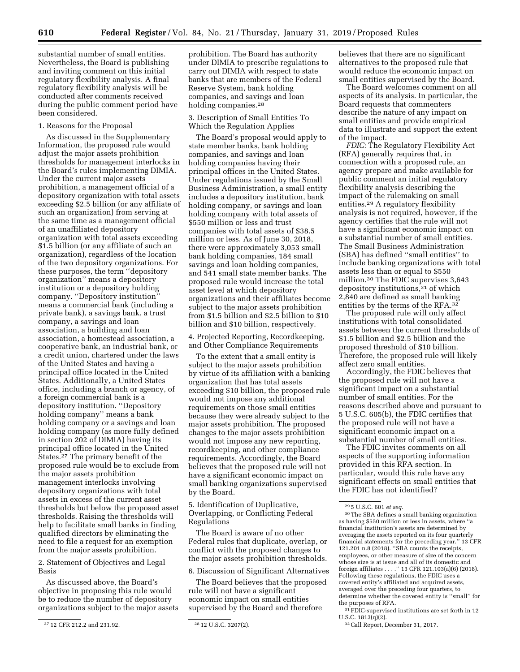substantial number of small entities. Nevertheless, the Board is publishing and inviting comment on this initial regulatory flexibility analysis. A final regulatory flexibility analysis will be conducted after comments received during the public comment period have been considered.

## 1. Reasons for the Proposal

As discussed in the Supplementary Information, the proposed rule would adjust the major assets prohibition thresholds for management interlocks in the Board's rules implementing DIMIA. Under the current major assets prohibition, a management official of a depository organization with total assets exceeding \$2.5 billion (or any affiliate of such an organization) from serving at the same time as a management official of an unaffiliated depository organization with total assets exceeding \$1.5 billion (or any affiliate of such an organization), regardless of the location of the two depository organizations. For these purposes, the term ''depository organization'' means a depository institution or a depository holding company. ''Depository institution'' means a commercial bank (including a private bank), a savings bank, a trust company, a savings and loan association, a building and loan association, a homestead association, a cooperative bank, an industrial bank, or a credit union, chartered under the laws of the United States and having a principal office located in the United States. Additionally, a United States office, including a branch or agency, of a foreign commercial bank is a depository institution. ''Depository holding company'' means a bank holding company or a savings and loan holding company (as more fully defined in section 202 of DIMIA) having its principal office located in the United States.27 The primary benefit of the proposed rule would be to exclude from the major assets prohibition management interlocks involving depository organizations with total assets in excess of the current asset thresholds but below the proposed asset thresholds. Raising the thresholds will help to facilitate small banks in finding qualified directors by eliminating the need to file a request for an exemption from the major assets prohibition.

2. Statement of Objectives and Legal Basis

As discussed above, the Board's objective in proposing this rule would be to reduce the number of depository organizations subject to the major assets

prohibition. The Board has authority under DIMIA to prescribe regulations to carry out DIMIA with respect to state banks that are members of the Federal Reserve System, bank holding companies, and savings and loan holding companies.<sup>28</sup>

3. Description of Small Entities To Which the Regulation Applies

The Board's proposal would apply to state member banks, bank holding companies, and savings and loan holding companies having their principal offices in the United States. Under regulations issued by the Small Business Administration, a small entity includes a depository institution, bank holding company, or savings and loan holding company with total assets of \$550 million or less and trust companies with total assets of \$38.5 million or less. As of June 30, 2018, there were approximately 3,053 small bank holding companies, 184 small savings and loan holding companies, and 541 small state member banks. The proposed rule would increase the total asset level at which depository organizations and their affiliates become subject to the major assets prohibition from \$1.5 billion and \$2.5 billion to \$10 billion and \$10 billion, respectively.

4. Projected Reporting, Recordkeeping, and Other Compliance Requirements

To the extent that a small entity is subject to the major assets prohibition by virtue of its affiliation with a banking organization that has total assets exceeding \$10 billion, the proposed rule would not impose any additional requirements on those small entities because they were already subject to the major assets prohibition. The proposed changes to the major assets prohibition would not impose any new reporting, recordkeeping, and other compliance requirements. Accordingly, the Board believes that the proposed rule will not have a significant economic impact on small banking organizations supervised by the Board.

5. Identification of Duplicative, Overlapping, or Conflicting Federal Regulations

The Board is aware of no other Federal rules that duplicate, overlap, or conflict with the proposed changes to the major assets prohibition thresholds.

6. Discussion of Significant Alternatives

The Board believes that the proposed rule will not have a significant economic impact on small entities supervised by the Board and therefore

believes that there are no significant alternatives to the proposed rule that would reduce the economic impact on small entities supervised by the Board.

The Board welcomes comment on all aspects of its analysis. In particular, the Board requests that commenters describe the nature of any impact on small entities and provide empirical data to illustrate and support the extent of the impact.

*FDIC:* The Regulatory Flexibility Act (RFA) generally requires that, in connection with a proposed rule, an agency prepare and make available for public comment an initial regulatory flexibility analysis describing the impact of the rulemaking on small entities.29 A regulatory flexibility analysis is not required, however, if the agency certifies that the rule will not have a significant economic impact on a substantial number of small entities. The Small Business Administration (SBA) has defined ''small entities'' to include banking organizations with total assets less than or equal to \$550 million.30 The FDIC supervises 3,643 depository institutions,31 of which 2,840 are defined as small banking entities by the terms of the RFA.32

The proposed rule will only affect institutions with total consolidated assets between the current thresholds of \$1.5 billion and \$2.5 billion and the proposed threshold of \$10 billion. Therefore, the proposed rule will likely affect zero small entities.

Accordingly, the FDIC believes that the proposed rule will not have a significant impact on a substantial number of small entities. For the reasons described above and pursuant to 5 U.S.C. 605(b), the FDIC certifies that the proposed rule will not have a significant economic impact on a substantial number of small entities.

The FDIC invites comments on all aspects of the supporting information provided in this RFA section. In particular, would this rule have any significant effects on small entities that the FDIC has not identified?

30The SBA defines a small banking organization as having \$550 million or less in assets, where ''a financial institution's assets are determined by averaging the assets reported on its four quarterly financial statements for the preceding year.'' 13 CFR 121.201 n.8 (2018). ''SBA counts the receipts, employees, or other measure of size of the concern whose size is at issue and all of its domestic and foreign affiliates . . . .'' 13 CFR 121.103(a)(6) (2018). Following these regulations, the FDIC uses a covered entity's affiliated and acquired assets, averaged over the preceding four quarters, to determine whether the covered entity is ''small'' for the purposes of RFA.

31FDIC-supervised institutions are set forth in 12 U.S.C. 1813(q)(2).

<sup>27</sup> 12 CFR 212.2 and 231.92. 28 12 U.S.C. 3207(2).

<sup>29</sup> 5 U.S.C. 601 *et seq.* 

<sup>32</sup>Call Report, December 31, 2017.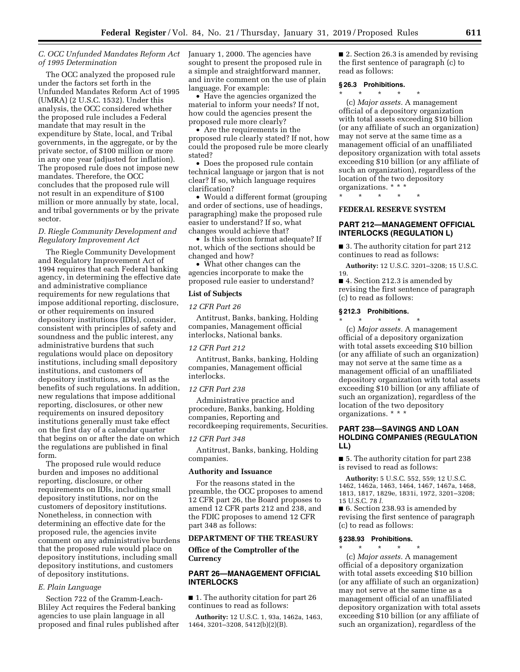## *C. OCC Unfunded Mandates Reform Act of 1995 Determination*

The OCC analyzed the proposed rule under the factors set forth in the Unfunded Mandates Reform Act of 1995 (UMRA) (2 U.S.C. 1532). Under this analysis, the OCC considered whether the proposed rule includes a Federal mandate that may result in the expenditure by State, local, and Tribal governments, in the aggregate, or by the private sector, of \$100 million or more in any one year (adjusted for inflation). The proposed rule does not impose new mandates. Therefore, the OCC concludes that the proposed rule will not result in an expenditure of \$100 million or more annually by state, local, and tribal governments or by the private sector.

## *D. Riegle Community Development and Regulatory Improvement Act*

The Riegle Community Development and Regulatory Improvement Act of 1994 requires that each Federal banking agency, in determining the effective date and administrative compliance requirements for new regulations that impose additional reporting, disclosure, or other requirements on insured depository institutions (IDIs), consider, consistent with principles of safety and soundness and the public interest, any administrative burdens that such regulations would place on depository institutions, including small depository institutions, and customers of depository institutions, as well as the benefits of such regulations. In addition, new regulations that impose additional reporting, disclosures, or other new requirements on insured depository institutions generally must take effect on the first day of a calendar quarter that begins on or after the date on which the regulations are published in final form.

The proposed rule would reduce burden and imposes no additional reporting, disclosure, or other requirements on IDIs, including small depository institutions, nor on the customers of depository institutions. Nonetheless, in connection with determining an effective date for the proposed rule, the agencies invite comment on any administrative burdens that the proposed rule would place on depository institutions, including small depository institutions, and customers of depository institutions.

#### *E. Plain Language*

Section 722 of the Gramm-Leach-Bliley Act requires the Federal banking agencies to use plain language in all proposed and final rules published after January 1, 2000. The agencies have sought to present the proposed rule in a simple and straightforward manner, and invite comment on the use of plain language. For example:

• Have the agencies organized the material to inform your needs? If not, how could the agencies present the proposed rule more clearly?

• Are the requirements in the proposed rule clearly stated? If not, how could the proposed rule be more clearly stated?

• Does the proposed rule contain technical language or jargon that is not clear? If so, which language requires clarification?

• Would a different format (grouping and order of sections, use of headings, paragraphing) make the proposed rule easier to understand? If so, what changes would achieve that?

• Is this section format adequate? If not, which of the sections should be changed and how?

• What other changes can the agencies incorporate to make the proposed rule easier to understand?

## **List of Subjects**

## *12 CFR Part 26*

Antitrust, Banks, banking, Holding companies, Management official interlocks, National banks.

#### *12 CFR Part 212*

Antitrust, Banks, banking, Holding companies, Management official interlocks.

#### *12 CFR Part 238*

Administrative practice and procedure, Banks, banking, Holding companies, Reporting and recordkeeping requirements, Securities.

#### *12 CFR Part 348*

Antitrust, Banks, banking, Holding companies.

#### **Authority and Issuance**

For the reasons stated in the preamble, the OCC proposes to amend 12 CFR part 26, the Board proposes to amend 12 CFR parts 212 and 238, and the FDIC proposes to amend 12 CFR part 348 as follows:

#### **DEPARTMENT OF THE TREASURY**

## **Office of the Comptroller of the Currency**

## **PART 26—MANAGEMENT OFFICIAL INTERLOCKS**

■ 1. The authority citation for part 26 continues to read as follows:

**Authority:** 12 U.S.C. 1, 93a, 1462a, 1463, 1464, 3201–3208, 5412(b)(2)(B).

■ 2. Section 26.3 is amended by revising the first sentence of paragraph (c) to read as follows:

#### **§ 26.3 Prohibitions.**

\* \* \* \* \* (c) *Major assets.* A management official of a depository organization with total assets exceeding \$10 billion (or any affiliate of such an organization) may not serve at the same time as a management official of an unaffiliated depository organization with total assets exceeding \$10 billion (or any affiliate of such an organization), regardless of the location of the two depository organizations. \* \* \*

## **FEDERAL RESERVE SYSTEM**

\* \* \* \* \*

## **PART 212—MANAGEMENT OFFICIAL INTERLOCKS (REGULATION L)**

■ 3. The authority citation for part 212 continues to read as follows:

**Authority:** 12 U.S.C. 3201–3208; 15 U.S.C. 19.

■ 4. Section 212.3 is amended by revising the first sentence of paragraph (c) to read as follows:

#### **§ 212.3 Prohibitions.**

\* \* \* \* \* (c) *Major assets.* A management official of a depository organization with total assets exceeding \$10 billion (or any affiliate of such an organization) may not serve at the same time as a management official of an unaffiliated depository organization with total assets exceeding \$10 billion (or any affiliate of such an organization), regardless of the location of the two depository organizations. \* \* \*

## **PART 238—SAVINGS AND LOAN HOLDING COMPANIES (REGULATION LL)**

■ 5. The authority citation for part 238 is revised to read as follows:

**Authority:** 5 U.S.C. 552, 559; 12 U.S.C. 1462, 1462a, 1463, 1464, 1467, 1467a, 1468, 1813, 1817, 1829e, 1831i, 1972, 3201–3208; 15 U.S.C. 78 *l.* 

■ 6. Section 238.93 is amended by revising the first sentence of paragraph (c) to read as follows:

#### **§ 238.93 Prohibitions.**

\* \* \* \* \* (c) *Major assets.* A management official of a depository organization with total assets exceeding \$10 billion (or any affiliate of such an organization) may not serve at the same time as a management official of an unaffiliated depository organization with total assets exceeding \$10 billion (or any affiliate of such an organization), regardless of the